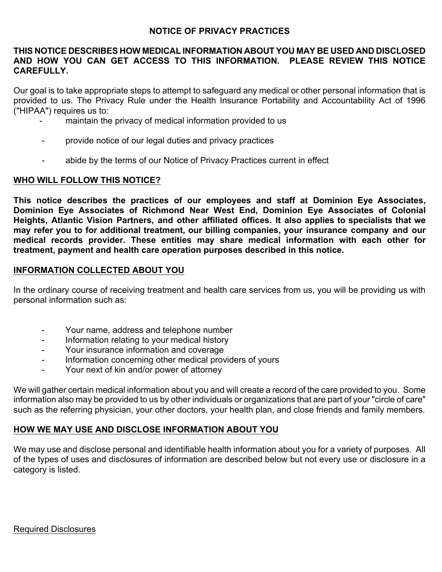### **NOTICE OF PRIVACY PRACTICES**

#### **THIS NOTICE DESCRIBES HOW MEDICAL INFORMATION ABOUT YOU MAY BE USED AND DISCLOSED AND HOW YOU CAN GET ACCESS TO THIS INFORMATION. PLEASE REVIEW THIS NOTICE CAREFULLY.**

Our goal is to take appropriate steps to attempt to safeguard any medical or other personal information that is provided to us. The Privacy Rule under the Health Insurance Portability and Accountability Act of 1996 ("HIPAA") requires us to:

- maintain the privacy of medical information provided to us
- provide notice of our legal duties and privacy practices
- abide by the terms of our Notice of Privacy Practices current in effect

### **WHO WILL FOLLOW THIS NOTICE?**

**This notice describes the practices of our employees and staff at Dominion Eye Associates, Dominion Eye Associates of Richmond Near West End, Dominion Eye Associates of Colonial Heights, Atlantic Vision Partners, and other affiliated offices. It also applies to specialists that we may refer you to for additional treatment, our billing companies, your insurance company and our medical records provider. These entities may share medical information with each other for treatment, payment and health care operation purposes described in this notice.** 

# **INFORMATION COLLECTED ABOUT YOU**

In the ordinary course of receiving treatment and health care services from us, you will be providing us with personal information such as:

- Your name, address and telephone number
- Information relating to your medical history
- Your insurance information and coverage
- Information concerning other medical providers of yours
- Your next of kin and/or power of attorney

We will gather certain medical information about you and will create a record of the care provided to you. Some information also may be provided to us by other individuals or organizations that are part of your "circle of care" such as the referring physician, your other doctors, your health plan, and close friends and family members.

# **HOW WE MAY USE AND DISCLOSE INFORMATION ABOUT YOU**

We may use and disclose personal and identifiable health information about you for a variety of purposes. All of the types of uses and disclosures of information are described below but not every use or disclosure in a category is listed.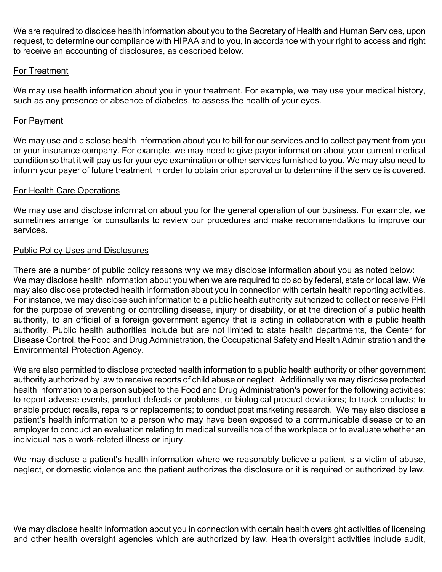We are required to disclose health information about you to the Secretary of Health and Human Services, upon request, to determine our compliance with HIPAA and to you, in accordance with your right to access and right to receive an accounting of disclosures, as described below.

# For Treatment

We may use health information about you in your treatment. For example, we may use your medical history, such as any presence or absence of diabetes, to assess the health of your eyes.

# For Payment

We may use and disclose health information about you to bill for our services and to collect payment from you or your insurance company. For example, we may need to give payor information about your current medical condition so that it will pay us for your eye examination or other services furnished to you. We may also need to inform your payer of future treatment in order to obtain prior approval or to determine if the service is covered.

### For Health Care Operations

We may use and disclose information about you for the general operation of our business. For example, we sometimes arrange for consultants to review our procedures and make recommendations to improve our services.

### Public Policy Uses and Disclosures

There are a number of public policy reasons why we may disclose information about you as noted below: We may disclose health information about you when we are required to do so by federal, state or local law. We may also disclose protected health information about you in connection with certain health reporting activities. For instance, we may disclose such information to a public health authority authorized to collect or receive PHI for the purpose of preventing or controlling disease, injury or disability, or at the direction of a public health authority, to an official of a foreign government agency that is acting in collaboration with a public health authority. Public health authorities include but are not limited to state health departments, the Center for Disease Control, the Food and Drug Administration, the Occupational Safety and Health Administration and the Environmental Protection Agency.

We are also permitted to disclose protected health information to a public health authority or other government authority authorized by law to receive reports of child abuse or neglect. Additionally we may disclose protected health information to a person subject to the Food and Drug Administration's power for the following activities: to report adverse events, product defects or problems, or biological product deviations; to track products; to enable product recalls, repairs or replacements; to conduct post marketing research. We may also disclose a patient's health information to a person who may have been exposed to a communicable disease or to an employer to conduct an evaluation relating to medical surveillance of the workplace or to evaluate whether an individual has a work-related illness or injury.

We may disclose a patient's health information where we reasonably believe a patient is a victim of abuse, neglect, or domestic violence and the patient authorizes the disclosure or it is required or authorized by law.

We may disclose health information about you in connection with certain health oversight activities of licensing and other health oversight agencies which are authorized by law. Health oversight activities include audit,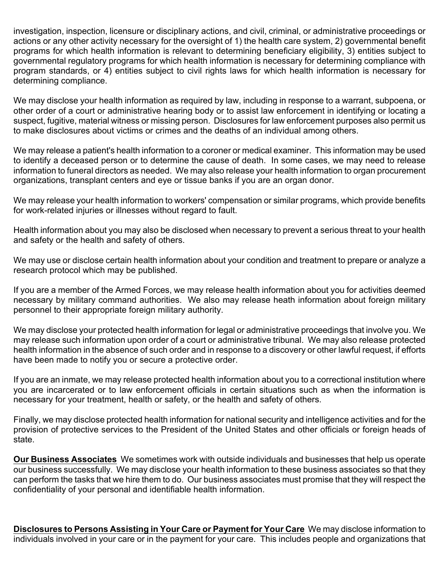investigation, inspection, licensure or disciplinary actions, and civil, criminal, or administrative proceedings or actions or any other activity necessary for the oversight of 1) the health care system, 2) governmental benefit programs for which health information is relevant to determining beneficiary eligibility, 3) entities subject to governmental regulatory programs for which health information is necessary for determining compliance with program standards, or 4) entities subject to civil rights laws for which health information is necessary for determining compliance.

We may disclose your health information as required by law, including in response to a warrant, subpoena, or other order of a court or administrative hearing body or to assist law enforcement in identifying or locating a suspect, fugitive, material witness or missing person. Disclosures for law enforcement purposes also permit us to make disclosures about victims or crimes and the deaths of an individual among others.

We may release a patient's health information to a coroner or medical examiner. This information may be used to identify a deceased person or to determine the cause of death. In some cases, we may need to release information to funeral directors as needed. We may also release your health information to organ procurement organizations, transplant centers and eye or tissue banks if you are an organ donor.

We may release your health information to workers' compensation or similar programs, which provide benefits for work-related injuries or illnesses without regard to fault.

Health information about you may also be disclosed when necessary to prevent a serious threat to your health and safety or the health and safety of others.

We may use or disclose certain health information about your condition and treatment to prepare or analyze a research protocol which may be published.

If you are a member of the Armed Forces, we may release health information about you for activities deemed necessary by military command authorities. We also may release heath information about foreign military personnel to their appropriate foreign military authority.

We may disclose your protected health information for legal or administrative proceedings that involve you. We may release such information upon order of a court or administrative tribunal. We may also release protected health information in the absence of such order and in response to a discovery or other lawful request, if efforts have been made to notify you or secure a protective order.

If you are an inmate, we may release protected health information about you to a correctional institution where you are incarcerated or to law enforcement officials in certain situations such as when the information is necessary for your treatment, health or safety, or the health and safety of others.

Finally, we may disclose protected health information for national security and intelligence activities and for the provision of protective services to the President of the United States and other officials or foreign heads of state.

**Our Business Associates** We sometimes work with outside individuals and businesses that help us operate our business successfully. We may disclose your health information to these business associates so that they can perform the tasks that we hire them to do. Our business associates must promise that they will respect the confidentiality of your personal and identifiable health information.

**Disclosures to Persons Assisting in Your Care or Payment for Your Care** We may disclose information to individuals involved in your care or in the payment for your care. This includes people and organizations that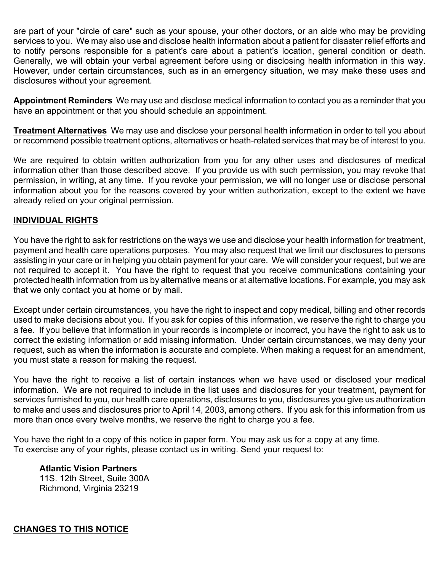are part of your "circle of care" such as your spouse, your other doctors, or an aide who may be providing services to you. We may also use and disclose health information about a patient for disaster relief efforts and to notify persons responsible for a patient's care about a patient's location, general condition or death. Generally, we will obtain your verbal agreement before using or disclosing health information in this way. However, under certain circumstances, such as in an emergency situation, we may make these uses and disclosures without your agreement.

**Appointment Reminders** We may use and disclose medical information to contact you as a reminder that you have an appointment or that you should schedule an appointment.

**Treatment Alternatives** We may use and disclose your personal health information in order to tell you about or recommend possible treatment options, alternatives or heath-related services that may be of interest to you.

We are required to obtain written authorization from you for any other uses and disclosures of medical information other than those described above. If you provide us with such permission, you may revoke that permission, in writing, at any time. If you revoke your permission, we will no longer use or disclose personal information about you for the reasons covered by your written authorization, except to the extent we have already relied on your original permission.

# **INDIVIDUAL RIGHTS**

You have the right to ask for restrictions on the ways we use and disclose your health information for treatment, payment and health care operations purposes. You may also request that we limit our disclosures to persons assisting in your care or in helping you obtain payment for your care. We will consider your request, but we are not required to accept it. You have the right to request that you receive communications containing your protected health information from us by alternative means or at alternative locations. For example, you may ask that we only contact you at home or by mail.

Except under certain circumstances, you have the right to inspect and copy medical, billing and other records used to make decisions about you. If you ask for copies of this information, we reserve the right to charge you a fee. If you believe that information in your records is incomplete or incorrect, you have the right to ask us to correct the existing information or add missing information. Under certain circumstances, we may deny your request, such as when the information is accurate and complete. When making a request for an amendment, you must state a reason for making the request.

You have the right to receive a list of certain instances when we have used or disclosed your medical information. We are not required to include in the list uses and disclosures for your treatment, payment for services furnished to you, our health care operations, disclosures to you, disclosures you give us authorization to make and uses and disclosures prior to April 14, 2003, among others. If you ask for this information from us more than once every twelve months, we reserve the right to charge you a fee.

You have the right to a copy of this notice in paper form. You may ask us for a copy at any time. To exercise any of your rights, please contact us in writing. Send your request to:

**Atlantic Vision Partners** 11S. 12th Street, Suite 300A Richmond, Virginia 23219

**CHANGES TO THIS NOTICE**